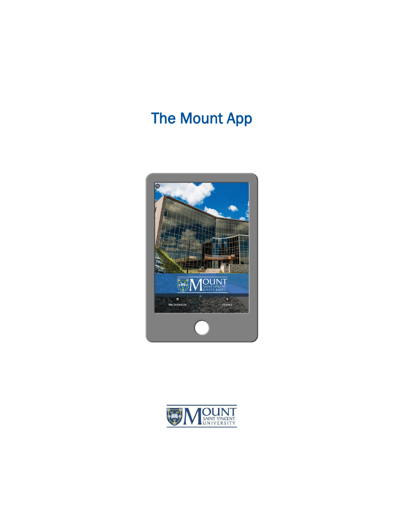# **The Mount App**



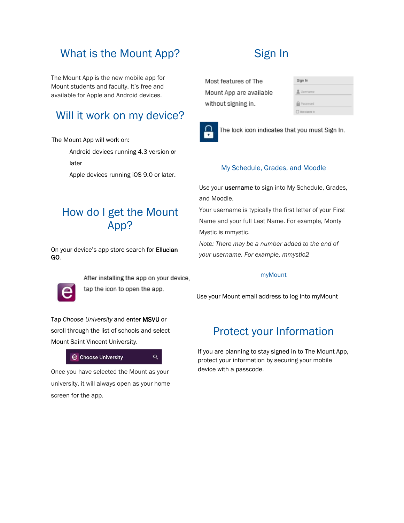# What is the Mount App?

The Mount App is the new mobile app for Mount students and faculty. It's free and available for Apple and Android devices.

# Will it work on my device?

The Mount App will work on:

Android devices running 4.3 version or

later

Apple devices running iOS 9.0 or later.

# How do I get the Mount App?

On your device's app store search for **Ellucian** GO.



After installing the app on your device, tap the icon to open the app.

 $\alpha$ 

Tap *Choose University* and enter MSVU or scroll through the list of schools and select Mount Saint Vincent University.

### **e** Choose University

Once you have selected the Mount as your university, it will always open as your home screen for the app.

# Sign In

Most features of The Mount App are available without signing in.



The lock icon indicates that you must Sign In.

### My Schedule, Grades, and Moodle

Use your **username** to sign into My Schedule, Grades, and Moodle.

Your username is typically the first letter of your First Name and your full Last Name. For example, Monty Mystic is mmystic.

*Note: There may be a number added to the end of your username. For example, mmystic2*

### myMount

Use your Mount email address to log into myMount

# Protect your Information

If you are planning to stay signed in to The Mount App, protect your information by securing your mobile device with a passcode.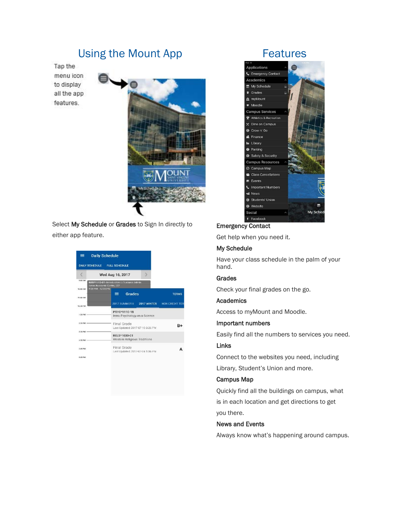## Using the Mount App

Tap the menu icon to display all the app features.



Select My Schedule or Grades to Sign In directly to either app feature.

| $\equiv$               | <b>Daily Schedule</b>                                                     |
|------------------------|---------------------------------------------------------------------------|
|                        | DAILY SCHEDULE FULL SCHEDULE                                              |
|                        | Wed Aug 16, 2017                                                          |
| 930 650                | BUSI^1112-01-Introduction to Business Admin<br>Saton Academic Contro, 502 |
| <b>MA 00.0T</b>        | 9:00 AM 12:00 PM<br>Grades<br>≡ :<br><b>TERMS</b>                         |
| 11.00 AM               |                                                                           |
| 12/30 PM               | 2017 SUMMER II 2017 WINTER<br><b>NON CREDIT TER</b>                       |
| 1:30 PM                | PSYC*1110-18<br>Intro: Psychology as a Science                            |
| $2:20$ PM $-$          | Final Grade<br>$B+$<br>Last Updated: 2017-07-10 3:26 PM                   |
| 3:20 PM -<br>4:10 PM - | RELS*1030-01<br>Western Religious Traditions                              |
| 5:00 PM                | Final Grade<br>Last Updated: 2017-07-24 1:06 PM                           |
| <b>MR 00:0</b>         |                                                                           |

### Features



### Emergency Contact

Get help when you need it.

### My Schedule

Have your class schedule in the palm of your hand.

### Grades

Check your final grades on the go.

#### Academics

Access to myMount and Moodle.

### Important numbers

Easily find all the numbers to services you need.

### Links

Connect to the websites you need, including Library, Student's Union and more.

### Campus Map

Quickly find all the buildings on campus, what is in each location and get directions to get you there.

#### News and Events

Always know what's happening around campus.